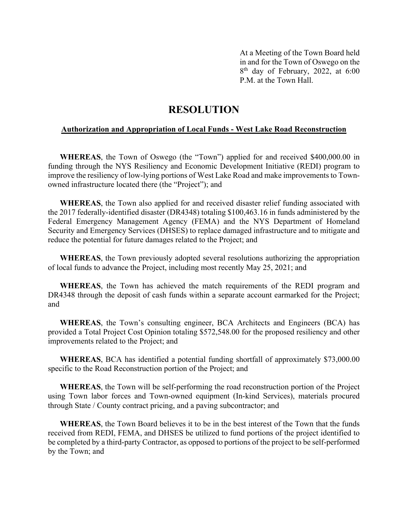At a Meeting of the Town Board held in and for the Town of Oswego on the 8th day of February, 2022, at 6:00 P.M. at the Town Hall.

## **RESOLUTION**

## **Authorization and Appropriation of Local Funds - West Lake Road Reconstruction**

**WHEREAS**, the Town of Oswego (the "Town") applied for and received \$400,000.00 in funding through the NYS Resiliency and Economic Development Initiative (REDI) program to improve the resiliency of low-lying portions of West Lake Road and make improvements to Townowned infrastructure located there (the "Project"); and

**WHEREAS**, the Town also applied for and received disaster relief funding associated with the 2017 federally-identified disaster (DR4348) totaling \$100,463.16 in funds administered by the Federal Emergency Management Agency (FEMA) and the NYS Department of Homeland Security and Emergency Services (DHSES) to replace damaged infrastructure and to mitigate and reduce the potential for future damages related to the Project; and

**WHEREAS**, the Town previously adopted several resolutions authorizing the appropriation of local funds to advance the Project, including most recently May 25, 2021; and

**WHEREAS**, the Town has achieved the match requirements of the REDI program and DR4348 through the deposit of cash funds within a separate account earmarked for the Project; and

**WHEREAS**, the Town's consulting engineer, BCA Architects and Engineers (BCA) has provided a Total Project Cost Opinion totaling \$572,548.00 for the proposed resiliency and other improvements related to the Project; and

**WHEREAS**, BCA has identified a potential funding shortfall of approximately \$73,000.00 specific to the Road Reconstruction portion of the Project; and

**WHEREAS**, the Town will be self-performing the road reconstruction portion of the Project using Town labor forces and Town-owned equipment (In-kind Services), materials procured through State / County contract pricing, and a paving subcontractor; and

**WHEREAS**, the Town Board believes it to be in the best interest of the Town that the funds received from REDI, FEMA, and DHSES be utilized to fund portions of the project identified to be completed by a third-party Contractor, as opposed to portions of the project to be self-performed by the Town; and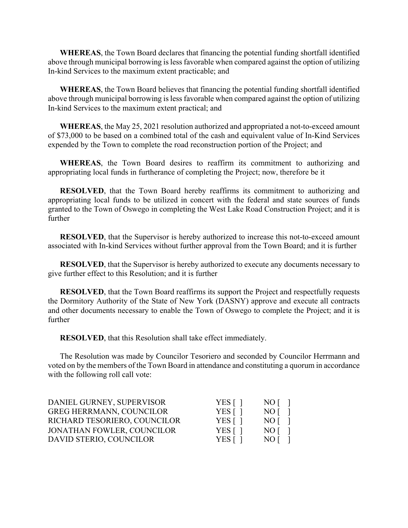**WHEREAS**, the Town Board declares that financing the potential funding shortfall identified above through municipal borrowing is less favorable when compared against the option of utilizing In-kind Services to the maximum extent practicable; and

**WHEREAS**, the Town Board believes that financing the potential funding shortfall identified above through municipal borrowing is less favorable when compared against the option of utilizing In-kind Services to the maximum extent practical; and

**WHEREAS**, the May 25, 2021 resolution authorized and appropriated a not-to-exceed amount of \$73,000 to be based on a combined total of the cash and equivalent value of In-Kind Services expended by the Town to complete the road reconstruction portion of the Project; and

**WHEREAS**, the Town Board desires to reaffirm its commitment to authorizing and appropriating local funds in furtherance of completing the Project; now, therefore be it

**RESOLVED**, that the Town Board hereby reaffirms its commitment to authorizing and appropriating local funds to be utilized in concert with the federal and state sources of funds granted to the Town of Oswego in completing the West Lake Road Construction Project; and it is further

**RESOLVED**, that the Supervisor is hereby authorized to increase this not-to-exceed amount associated with In-kind Services without further approval from the Town Board; and it is further

**RESOLVED**, that the Supervisor is hereby authorized to execute any documents necessary to give further effect to this Resolution; and it is further

**RESOLVED**, that the Town Board reaffirms its support the Project and respectfully requests the Dormitory Authority of the State of New York (DASNY) approve and execute all contracts and other documents necessary to enable the Town of Oswego to complete the Project; and it is further

**RESOLVED**, that this Resolution shall take effect immediately.

The Resolution was made by Councilor Tesoriero and seconded by Councilor Herrmann and voted on by the members of the Town Board in attendance and constituting a quorum in accordance with the following roll call vote:

| DANIEL GURNEY, SUPERVISOR       | YES [] | NO [ |
|---------------------------------|--------|------|
| <b>GREG HERRMANN, COUNCILOR</b> | YES [] | NO [ |
| RICHARD TESORIERO, COUNCILOR    | YES [] | NO [ |
| JONATHAN FOWLER, COUNCILOR      | YES [] | NO I |
| DAVID STERIO, COUNCILOR         | YES [] | NO I |